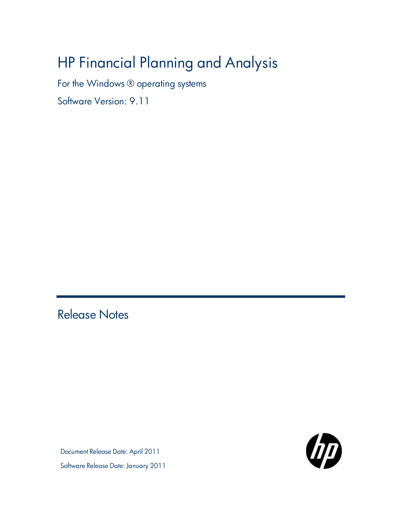# HP Financial Planning and Analysis

For the Windows ® operating systems

Software Version: 9.11

<span id="page-0-0"></span>Release Notes

Document Release Date: April 2011 Software Release Date: January 2011

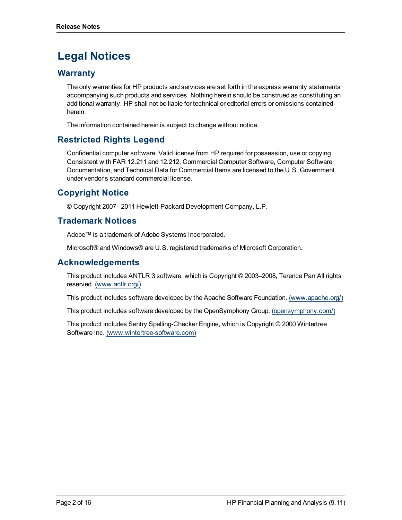# **Legal Notices**

### **Warranty**

The only warranties for HP products and services are set forth in the express warranty statements accompanying such products and services. Nothing herein should be construed as constituting an additional warranty. HP shall not be liable for technical or editorial errors or omissions contained herein.

The information contained herein is subject to change without notice.

### **Restricted Rights Legend**

Confidential computer software. Valid license from HP required for possession, use or copying. Consistent with FAR 12.211 and 12.212, Commercial Computer Software, Computer Software Documentation, and Technical Data for Commercial Items are licensed to the U.S. Government under vendor's standard commercial license.

### **Copyright Notice**

© Copyright 2007 - 2011 Hewlett-Packard Development Company, L.P.

### **Trademark Notices**

Adobe™ is a trademark of Adobe Systems Incorporated.

Microsoft® and Windows® are U.S. registered trademarks of Microsoft Corporation.

### **Acknowledgements**

This product includes ANTLR 3 software, which is Copyright © 2003–2008, Terence Parr All rights reserved. [\(www.antlr.org/\)](http://www.antlr.org/)

This product includes software developed by the Apache Software Foundation. [\(www.apache.org/\)](http://www.apache.org/)

This product includes software developed by the OpenSymphony Group. [\(opensymphony.com/\)](http://www.opensymphony.com/)

This product includes Sentry Spelling-Checker Engine, which is Copyright © 2000 Wintertree Software Inc. [\(www.wintertree-software.com\)](http://www.wintertree-software.com/dev/ssce/java/)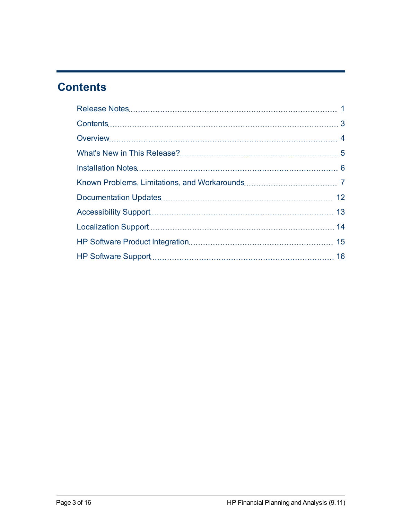# <span id="page-2-0"></span>**Contents**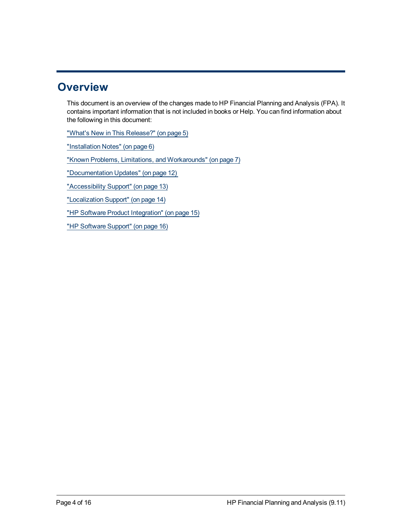### <span id="page-3-0"></span>**Overview**

This document is an overview of the changes made to HP Financial Planning and Analysis (FPA). It contains important information that is not included in books or Help. You can find information about the following in this document:

["What's](#page-4-0) [New](#page-4-0) [in](#page-4-0) [This](#page-4-0) [Release?"](#page-4-0) [\(on](#page-4-0) [page](#page-4-0) [5\)](#page-4-0)

["Installation](#page-5-0) [Notes"](#page-5-0) [\(on](#page-5-0) [page](#page-5-0) [6\)](#page-5-0)

["Known](#page-6-0) [Problems,](#page-6-0) [Limitations,](#page-6-0) [and](#page-6-0) [Workarounds"](#page-6-0) [\(on](#page-6-0) [page](#page-6-0) [7\)](#page-6-0)

["Documentation](#page-11-0) [Updates"](#page-11-0) [\(on](#page-11-0) [page](#page-11-0) [12\)](#page-11-0)

["Accessibility](#page-12-0) [Support"](#page-12-0) [\(on](#page-12-0) [page](#page-12-0) [13\)](#page-12-0)

["Localization](#page-13-0) [Support"](#page-13-0) [\(on](#page-13-0) [page](#page-13-0) [14\)](#page-13-0)

["HP Software](#page-14-0) [Product](#page-14-0) [Integration"](#page-14-0) [\(on](#page-14-0) [page](#page-14-0) [15\)](#page-14-0)

["HP Software](#page-15-0) [Support"](#page-15-0) [\(on](#page-15-0) [page](#page-15-0) [16\)](#page-15-0)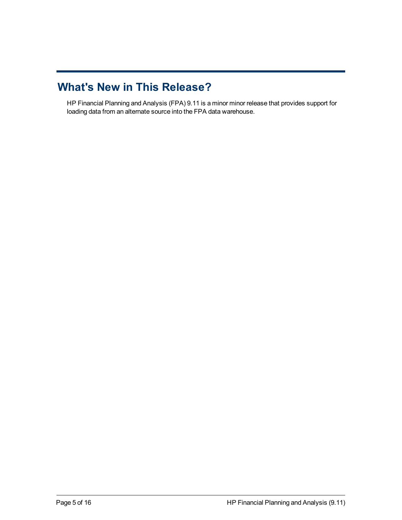### <span id="page-4-0"></span>**What's New in This Release?**

HP Financial Planning and Analysis (FPA) 9.11 is a minor minor release that provides support for loading data from an alternate source into the FPA data warehouse.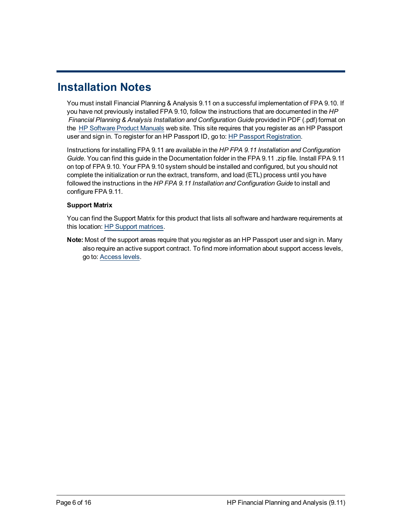# <span id="page-5-0"></span>**Installation Notes**

You must install Financial Planning & Analysis 9.11 on a successful implementation of FPA 9.10. If you have not previously installed FPA 9.10, follow the instructions that are documented in the *HP Financial Planning & Analysis Installation and Configuration Guide* provided in PDF (.pdf) format on the [HP](http://h20230.www2.hp.com/selfsolve/manuals) [Software](http://h20230.www2.hp.com/selfsolve/manuals) [Product](http://h20230.www2.hp.com/selfsolve/manuals) [Manuals](http://h20230.www2.hp.com/selfsolve/manuals) web site. This site requires that you register as an HP Passport user and sign in. To register for an HP Passport ID, go to: [HP](http://h20229.www2.hp.com/passport-registration.html) [Passport](http://h20229.www2.hp.com/passport-registration.html) [Registration](http://h20229.www2.hp.com/passport-registration.html).

Instructions for installing FPA 9.11 are available in the *HP FPA 9.11 Installation and Configuration Guide*. You can find this guide in the Documentation folder in the FPA 9.11 .zip file. Install FPA 9.11 on top of FPA 9.10. Your FPA 9.10 system should be installed and configured, but you should not complete the initialization or run the extract, transform, and load (ETL) process until you have followed the instructions in the *HP FPA 9.11 Installation and Configuration Guide* to install and configure FPA 9.11.

#### **Support Matrix**

You can find the Support Matrix for this product that lists all software and hardware requirements at this location: [HP](http://h20230.www2.hp.com/sc/support_matrices.jsp) [Support](http://h20230.www2.hp.com/sc/support_matrices.jsp) [matrices](http://h20230.www2.hp.com/sc/support_matrices.jsp).

**Note:** Most of the support areas require that you register as an HP Passport user and sign in. Many also require an active support contract. To find more information about support access levels, go to: [Access](http://support.openview.hp.com/access_level.jsp) [levels](http://support.openview.hp.com/access_level.jsp).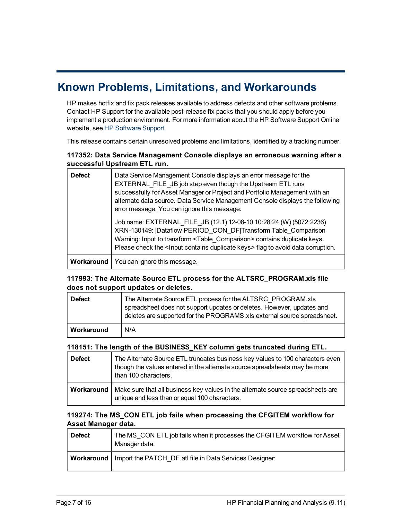### <span id="page-6-0"></span>**Known Problems, Limitations, and Workarounds**

HP makes hotfix and fix pack releases available to address defects and other software problems. Contact HP Support for the available post-release fix packs that you should apply before you implement a production environment. For more information about the HP Software Support Online website, see [HP Software](#page-15-0) [Support](#page-15-0).

This release contains certain unresolved problems and limitations, identified by a tracking number.

#### **117352: Data Service Management Console displays an erroneous warning after a successful Upstream ETL run.**

| <b>Defect</b> | Data Service Management Console displays an error message for the<br>EXTERNAL_FILE_JB job step even though the Upstream ETL runs<br>successfully for Asset Manager or Project and Portfolio Management with an<br>alternate data source. Data Service Management Console displays the following<br>error message. You can ignore this message: |  |  |  |
|---------------|------------------------------------------------------------------------------------------------------------------------------------------------------------------------------------------------------------------------------------------------------------------------------------------------------------------------------------------------|--|--|--|
|               | Job name: EXTERNAL_FILE_JB (12.1) 12-08-10 10:28:24 (W) (5072:2236)<br>XRN-130149:  Dataflow PERIOD CON DF Transform Table Comparison<br>Warning: Input to transform <table comparison=""> contains duplicate keys.<br/>Please check the <lnput contains="" duplicate="" keys=""> flag to avoid data corruption.</lnput></table>               |  |  |  |
| Workaround    | You can ignore this message.                                                                                                                                                                                                                                                                                                                   |  |  |  |

#### **117993: The Alternate Source ETL process for the ALTSRC\_PROGRAM.xls file does not support updates or deletes.**

| <b>Defect</b> | The Alternate Source ETL process for the ALTSRC PROGRAM.xls<br>spreadsheet does not support updates or deletes. However, updates and<br>deletes are supported for the PROGRAMS.xls external source spreadsheet. |
|---------------|-----------------------------------------------------------------------------------------------------------------------------------------------------------------------------------------------------------------|
| Workaround    | N/A                                                                                                                                                                                                             |

#### **118151: The length of the BUSINESS\_KEY column gets truncated during ETL.**

| <b>Defect</b> | The Alternate Source ETL truncates business key values to 100 characters even<br>though the values entered in the alternate source spreadsheets may be more<br>than 100 characters. |
|---------------|-------------------------------------------------------------------------------------------------------------------------------------------------------------------------------------|
| Workaround    | Make sure that all business key values in the alternate source spreadsheets are<br>unique and less than or equal 100 characters.                                                    |

#### **119274: The MS\_CON ETL job fails when processing the CFGITEM workflow for Asset Manager data.**

| Defect | The MS CON ETL job fails when it processes the CFGITEM workflow for Asset<br>Manager data. |
|--------|--------------------------------------------------------------------------------------------|
|        | <b>Workaround</b>   Import the PATCH DF at file in Data Services Designer:                 |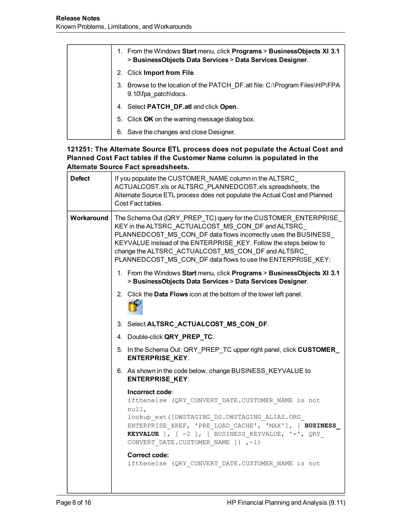| From the Windows Start menu, click Programs > BusinessObjects XI 3.1<br>1.<br>> BusinessObjects Data Services > Data Services Designer. |
|-----------------------------------------------------------------------------------------------------------------------------------------|
| Click Import from File.<br>2.                                                                                                           |
| Browse to the location of the PATCH_DF.atl file: C:\Program Files\HP\FPA<br>3.<br>9.10\fpa_patch\docs.                                  |
| Select PATCH_DF.atl and click Open.<br>4.                                                                                               |
| 5. Click OK on the warning message dialog box.                                                                                          |
| Save the changes and close Designer.<br>6.                                                                                              |

#### **121251: The Alternate Source ETL process does not populate the Actual Cost and Planned Cost Fact tables if the Customer Name column is populated in the Alternate Source Fact spreadsheets.**

| <b>Defect</b> | If you populate the CUSTOMER_NAME column in the ALTSRC_<br>ACTUALCOST.xls or ALTSRC PLANNEDCOST.xls spreadsheets, the<br>Alternate Source ETL process does not populate the Actual Cost and Planned<br>Cost Fact tables.                                                                                                                                                           |  |  |
|---------------|------------------------------------------------------------------------------------------------------------------------------------------------------------------------------------------------------------------------------------------------------------------------------------------------------------------------------------------------------------------------------------|--|--|
| Workaround    | The Schema Out (QRY_PREP_TC) query for the CUSTOMER_ENTERPRISE_<br>KEY in the ALTSRC_ACTUALCOST_MS_CON_DF and ALTSRC_<br>PLANNEDCOST_MS_CON_DF data flows incorrectly uses the BUSINESS_<br>KEYVALUE instead of the ENTERPRISE_KEY. Follow the steps below to<br>change the ALTSRC_ACTUALCOST_MS_CON_DF and ALTSRC_<br>PLANNEDCOST_MS_CON_DF data flows to use the ENTERPRISE_KEY: |  |  |
|               | 1. From the Windows Start menu, click Programs > BusinessObjects XI 3.1<br>> BusinessObjects Data Services > Data Services Designer.                                                                                                                                                                                                                                               |  |  |
|               | 2. Click the Data Flows icon at the bottom of the lower left panel.                                                                                                                                                                                                                                                                                                                |  |  |
|               | 3. Select ALTSRC_ACTUALCOST_MS_CON_DF.                                                                                                                                                                                                                                                                                                                                             |  |  |
|               | 4. Double-click QRY_PREP_TC.                                                                                                                                                                                                                                                                                                                                                       |  |  |
|               | 5. In the Schema Out: QRY_PREP_TC upper right panel, click CUSTOMER_<br><b>ENTERPRISE_KEY.</b>                                                                                                                                                                                                                                                                                     |  |  |
|               | 6. As shown in the code below, change BUSINESS_KEYVALUE to<br><b>ENTERPRISE_KEY:</b>                                                                                                                                                                                                                                                                                               |  |  |
|               | Incorrect code:<br>ifthenelse (QRY CONVERT DATE.CUSTOMER NAME is not<br>null,<br>lookup ext ([DWSTAGING DS.DWSTAGING ALIAS.ORG<br>ENTERPRISE XREF, 'PRE LOAD CACHE', 'MAX'], [ BUSINESS<br><b>KEYVALUE</b> ], $[-2]$ , $[$ BUSINESS KEYVALUE, $!=$ ', QRY<br>CONVERT DATE.CUSTOMER NAME ]) ,-1)<br><b>Correct code:</b><br>ifthenelse (QRY_CONVERT_DATE.CUSTOMER NAME is not       |  |  |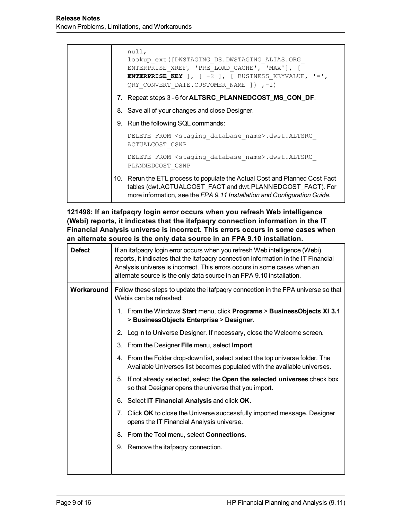|  | null,<br>lookup ext ([DWSTAGING DS.DWSTAGING ALIAS.ORG<br>ENTERPRISE XREF, 'PRE LOAD CACHE', 'MAX'], [<br><b>ENTERPRISE KEY</b> ], $[-2]$ , $[$ BUSINESS KEYVALUE, $!=$ ',<br>QRY CONVERT DATE.CUSTOMER NAME ]) ,-1)  |
|--|-----------------------------------------------------------------------------------------------------------------------------------------------------------------------------------------------------------------------|
|  | 7. Repeat steps 3 - 6 for <b>ALTSRC_PLANNEDCOST_MS_CON_DF</b> .                                                                                                                                                       |
|  | 8. Save all of your changes and close Designer.                                                                                                                                                                       |
|  | 9. Run the following SQL commands:                                                                                                                                                                                    |
|  | DELETE FROM <staging database="" name="">.dwst.ALTSRC<br/><b>ACTUALCOST CSNP</b></staging>                                                                                                                            |
|  | DELETE FROM <staging database="" name="">.dwst.ALTSRC<br/>PLANNEDCOST CSNP</staging>                                                                                                                                  |
|  | 10. Rerun the ETL process to populate the Actual Cost and Planned Cost Fact<br>tables (dwt.ACTUALCOST FACT and dwt.PLANNEDCOST FACT). For<br>more information, see the FPA 9.11 Installation and Configuration Guide. |

**121498: If an itafpaqry login error occurs when you refresh Web intelligence (Webi) reports, it indicates that the itafpaqry connection information in the IT Financial Analysis universe is incorrect. This errors occurs in some cases when an alternate source is the only data source in an FPA 9.10 installation.**

| <b>Defect</b> | If an itafpaqry login error occurs when you refresh Web intelligence (Webi)<br>reports, it indicates that the itafpagry connection information in the IT Financial<br>Analysis universe is incorrect. This errors occurs in some cases when an<br>alternate source is the only data source in an FPA 9.10 installation. |  |  |
|---------------|-------------------------------------------------------------------------------------------------------------------------------------------------------------------------------------------------------------------------------------------------------------------------------------------------------------------------|--|--|
| Workaround    | Follow these steps to update the itafpagry connection in the FPA universe so that<br>Webis can be refreshed:                                                                                                                                                                                                            |  |  |
|               | 1. From the Windows Start menu, click Programs > BusinessObjects XI 3.1<br>> BusinessObjects Enterprise > Designer.                                                                                                                                                                                                     |  |  |
|               | 2. Log in to Universe Designer. If necessary, close the Welcome screen.                                                                                                                                                                                                                                                 |  |  |
|               | From the Designer File menu, select Import.<br>3.                                                                                                                                                                                                                                                                       |  |  |
|               | 4. From the Folder drop-down list, select select the top universe folder. The<br>Available Universes list becomes populated with the available universes.                                                                                                                                                               |  |  |
|               | If not already selected, select the Open the selected universes check box<br>5.<br>so that Designer opens the universe that you import.                                                                                                                                                                                 |  |  |
|               | 6. Select IT Financial Analysis and click OK.                                                                                                                                                                                                                                                                           |  |  |
|               | Click OK to close the Universe successfully imported message. Designer<br>7.<br>opens the IT Financial Analysis universe.                                                                                                                                                                                               |  |  |
|               | From the Tool menu, select <b>Connections</b> .<br>8.                                                                                                                                                                                                                                                                   |  |  |
|               | 9. Remove the itafpagry connection.                                                                                                                                                                                                                                                                                     |  |  |
|               |                                                                                                                                                                                                                                                                                                                         |  |  |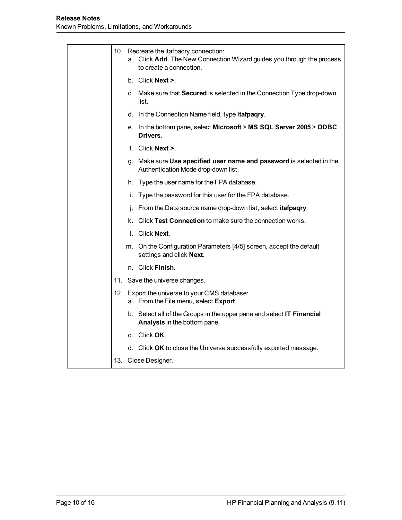|  | 10. Recreate the itafpaqry connection:<br>a. Click Add. The New Connection Wizard guides you through the process<br>to create a connection. |
|--|---------------------------------------------------------------------------------------------------------------------------------------------|
|  | b. Click <b>Next</b> $\geq$ .                                                                                                               |
|  | c. Make sure that Secured is selected in the Connection Type drop-down<br>list.                                                             |
|  | d. In the Connection Name field, type itafpagry.                                                                                            |
|  | e. In the bottom pane, select Microsoft > MS SQL Server 2005 > ODBC<br>Drivers.                                                             |
|  | f. Click Next >.                                                                                                                            |
|  | g. Make sure Use specified user name and password is selected in the<br>Authentication Mode drop-down list.                                 |
|  | h. Type the user name for the FPA database.                                                                                                 |
|  | i. Type the password for this user for the FPA database.                                                                                    |
|  | j. From the Data source name drop-down list, select <b>itafpaqry</b> .                                                                      |
|  | k. Click Test Connection to make sure the connection works.                                                                                 |
|  | I. Click Next.                                                                                                                              |
|  | m. On the Configuration Parameters [4/5] screen, accept the default<br>settings and click Next.                                             |
|  | n. Click Finish.                                                                                                                            |
|  | 11. Save the universe changes.                                                                                                              |
|  | 12. Export the universe to your CMS database:<br>a. From the File menu, select Export.                                                      |
|  | b. Select all of the Groups in the upper pane and select IT Financial<br>Analysis in the bottom pane.                                       |
|  | c. Click <b>OK</b> .                                                                                                                        |
|  | d. Click OK to close the Universe successfully exported message.                                                                            |
|  | 13. Close Designer.                                                                                                                         |
|  |                                                                                                                                             |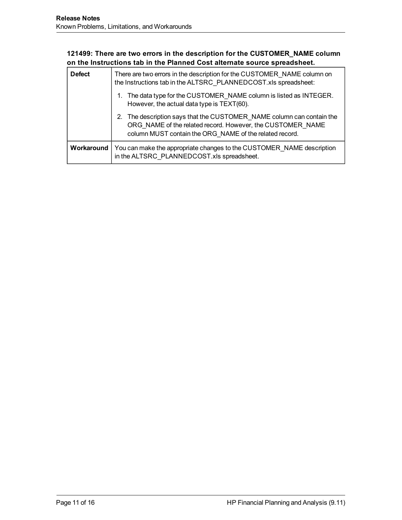#### **121499: There are two errors in the description for the CUSTOMER\_NAME column on the Instructions tab in the Planned Cost alternate source spreadsheet.**

| <b>Defect</b> | There are two errors in the description for the CUSTOMER NAME column on<br>the Instructions tab in the ALTSRC PLANNEDCOST.xls spreadsheet:                                                     |
|---------------|------------------------------------------------------------------------------------------------------------------------------------------------------------------------------------------------|
|               | 1. The data type for the CUSTOMER NAME column is listed as INTEGER.<br>However, the actual data type is TEXT(60).                                                                              |
|               | 2. The description says that the CUSTOMER NAME column can contain the<br>ORG_NAME of the related record. However, the CUSTOMER NAME<br>column MUST contain the ORG NAME of the related record. |
| Workaround    | You can make the appropriate changes to the CUSTOMER NAME description<br>in the ALTSRC_PLANNEDCOST.xls spreadsheet.                                                                            |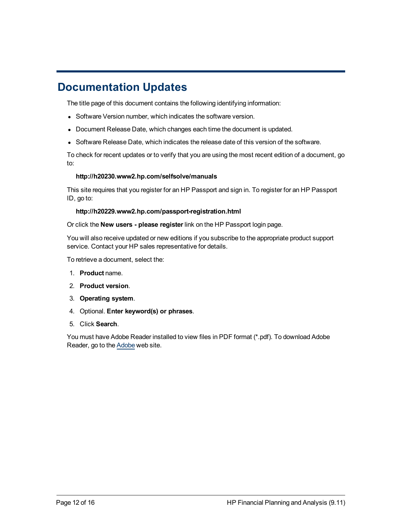### <span id="page-11-0"></span>**Documentation Updates**

The title page of this document contains the following identifying information:

- Software Version number, which indicates the software version.
- Document Release Date, which changes each time the document is updated.
- Software Release Date, which indicates the release date of this version of the software.

To check for recent updates or to verify that you are using the most recent edition of a document, go to:

#### **http://h20230.www2.hp.com/selfsolve/manuals**

This site requires that you register for an HP Passport and sign in. To register for an HP Passport ID, go to:

#### **http://h20229.www2.hp.com/passport-registration.html**

Or click the **New users - please register** link on the HP Passport login page.

You will also receive updated or new editions if you subscribe to the appropriate product support service. Contact your HP sales representative for details.

To retrieve a document, select the:

- 1. **Product** name.
- 2. **Product version**.
- 3. **Operating system**.
- 4. Optional. **Enter keyword(s) or phrases**.
- 5. Click **Search**.

You must have Adobe Reader installed to view files in PDF format (\*.pdf). To download Adobe Reader, go to the [Adobe](http://www.adobe.com/) web site.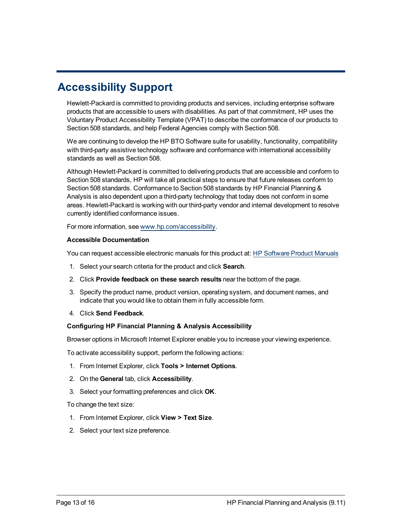# <span id="page-12-0"></span>**Accessibility Support**

Hewlett-Packard is committed to providing products and services, including enterprise software products that are accessible to users with disabilities. As part of that commitment, HP uses the Voluntary Product Accessibility Template (VPAT) to describe the conformance of our products to Section 508 standards, and help Federal Agencies comply with Section 508.

We are continuing to develop the HP BTO Software suite for usability, functionality, compatibility with third-party assistive technology software and conformance with international accessibility standards as well as Section 508.

Although Hewlett-Packard is committed to delivering products that are accessible and conform to Section 508 standards, HP will take all practical steps to ensure that future releases conform to Section 508 standards. Conformance to Section 508 standards by HP Financial Planning & Analysis is also dependent upon a third-party technology that today does not conform in some areas. Hewlett-Packard is working with our third-party vendor and internal development to resolve currently identified conformance issues.

For more information, see [www.hp.com/accessibility](http://www.hp.com/accessibility).

#### **Accessible Documentation**

You can request accessible electronic manuals for this product at: [HP](http://h20230.www2.hp.com/selfsolve/manuals) [Software](http://h20230.www2.hp.com/selfsolve/manuals) [Product](http://h20230.www2.hp.com/selfsolve/manuals) [Manuals](http://h20230.www2.hp.com/selfsolve/manuals)

- 1. Select your search criteria for the product and click **Search**.
- 2. Click **Provide feedback on these search results** near the bottom of the page.
- 3. Specify the product name, product version, operating system, and document names, and indicate that you would like to obtain them in fully accessible form.
- 4. Click **Send Feedback**.

#### **Configuring HP Financial Planning & Analysis Accessibility**

Browser options in Microsoft Internet Explorer enable you to increase your viewing experience.

To activate accessibility support, perform the following actions:

- 1. From Internet Explorer, click **Tools > Internet Options**.
- 2. On the **General** tab, click **Accessibility**.
- 3. Select your formatting preferences and click **OK**.

To change the text size:

- 1. From Internet Explorer, click **View > Text Size**.
- 2. Select your text size preference.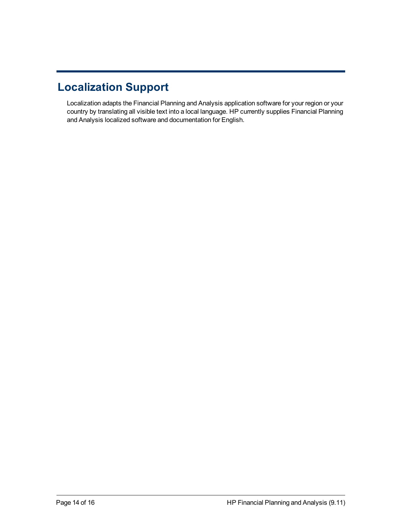# <span id="page-13-0"></span>**Localization Support**

Localization adapts the Financial Planning and Analysis application software for your region or your country by translating all visible text into a local language. HP currently supplies Financial Planning and Analysis localized software and documentation for English.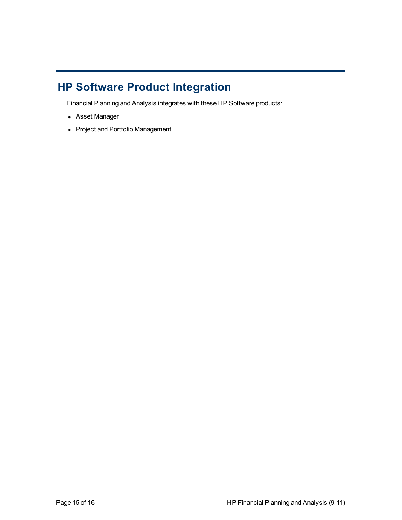# <span id="page-14-0"></span>**HP Software Product Integration**

Financial Planning and Analysis integrates with these HP Software products:

- Asset Manager
- Project and Portfolio Management